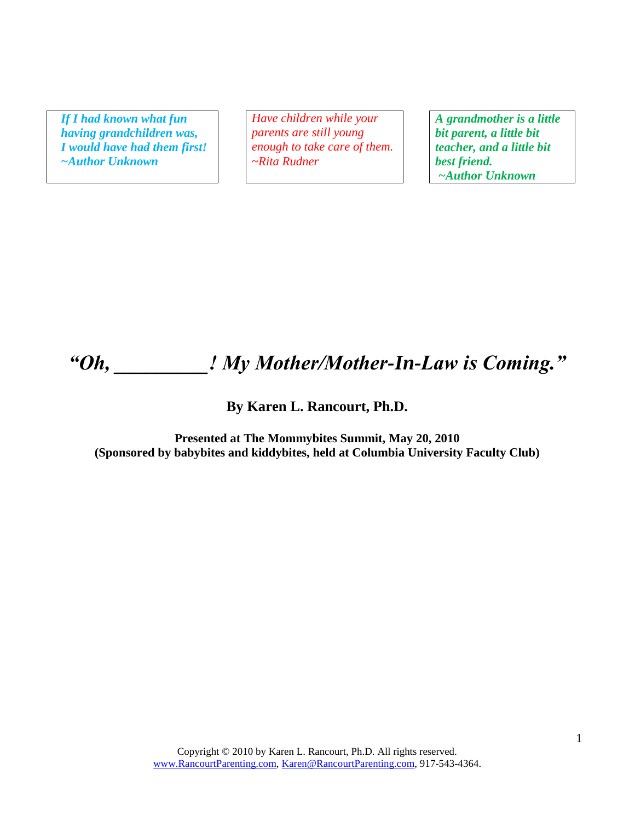*If I had known what fun having grandchildren was, I would have had them first! ~Author Unknown*

*Have children while your parents are still young enough to take care of them. ~Rita Rudner*

*A grandmother is a little bit parent, a little bit teacher, and a little bit best friend. ~Author Unknown*

# *"Oh, \_\_\_\_\_\_\_\_\_! My Mother/Mother-In-Law is Coming."*

#### **By Karen L. Rancourt, Ph.D.**

**Presented at The Mommybites Summit, May 20, 2010 (Sponsored by babybites and kiddybites, held at Columbia University Faculty Club)**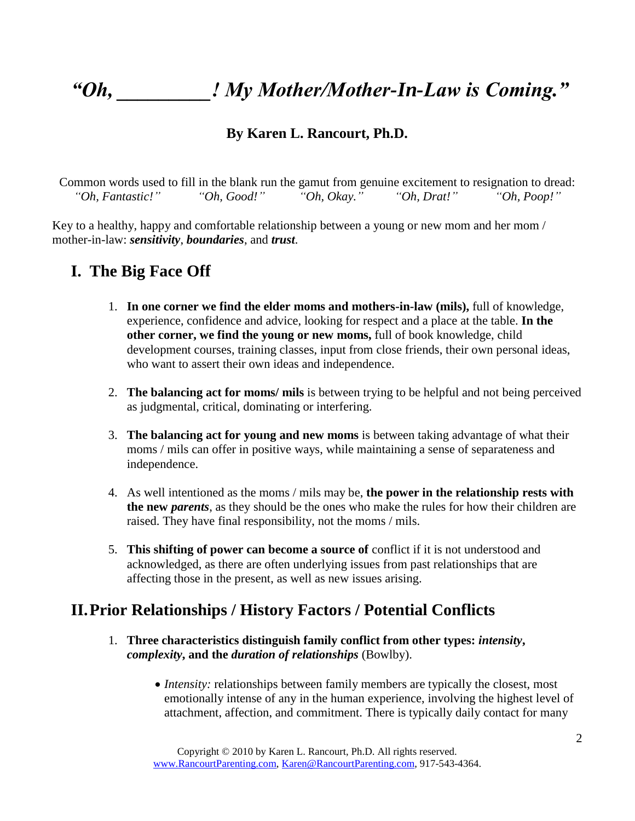# *"Oh, \_\_\_\_\_\_\_\_\_! My Mother/Mother-In-Law is Coming."*

#### **By Karen L. Rancourt, Ph.D.**

Common words used to fill in the blank run the gamut from genuine excitement to resignation to dread: *"Oh, Fantastic!" "Oh, Good!" "Oh, Okay." "Oh, Drat!" "Oh, Poop!"*

Key to a healthy, happy and comfortable relationship between a young or new mom and her mom / mother-in-law: *sensitivity*, *boundaries*, and *trust*.

## **I. The Big Face Off**

- 1. **In one corner we find the elder moms and mothers-in-law (mils),** full of knowledge, experience, confidence and advice, looking for respect and a place at the table. **In the other corner, we find the young or new moms,** full of book knowledge, child development courses, training classes, input from close friends, their own personal ideas, who want to assert their own ideas and independence.
- 2. **The balancing act for moms/ mils** is between trying to be helpful and not being perceived as judgmental, critical, dominating or interfering.
- 3. **The balancing act for young and new moms** is between taking advantage of what their moms / mils can offer in positive ways, while maintaining a sense of separateness and independence.
- 4. As well intentioned as the moms / mils may be, **the power in the relationship rests with the new** *parents*, as they should be the ones who make the rules for how their children are raised. They have final responsibility, not the moms / mils.
- 5. **This shifting of power can become a source of** conflict if it is not understood and acknowledged, as there are often underlying issues from past relationships that are affecting those in the present, as well as new issues arising.

## **II.Prior Relationships / History Factors / Potential Conflicts**

- 1. **Three characteristics distinguish family conflict from other types:** *intensity***,**  *complexity***, and the** *duration of relationships* (Bowlby).
	- *Intensity:* relationships between family members are typically the closest, most emotionally intense of any in the human experience, involving the highest level of attachment, affection, and commitment. There is typically daily contact for many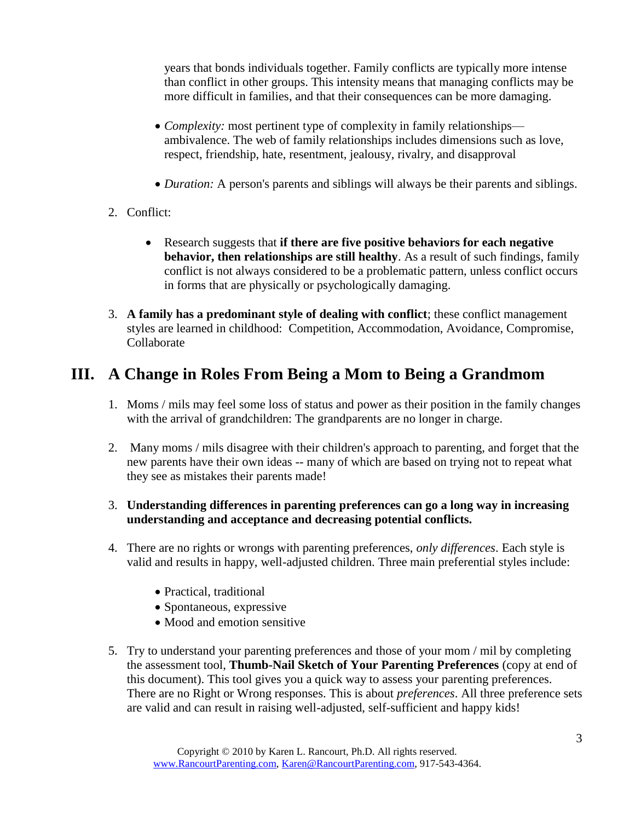years that bonds individuals together. Family conflicts are typically more intense than conflict in other groups. This intensity means that managing conflicts may be more difficult in families, and that their consequences can be more damaging.

- *Complexity:* most pertinent type of complexity in family relationships ambivalence. The web of family relationships includes dimensions such as love, respect, friendship, hate, resentment, jealousy, rivalry, and disapproval
- *Duration:* A person's parents and siblings will always be their parents and siblings.
- 2. Conflict:
	- Research suggests that **if there are five positive behaviors for each negative behavior, then relationships are still healthy**. As a result of such findings, family conflict is not always considered to be a problematic pattern, unless conflict occurs in forms that are physically or psychologically damaging.
- 3. **A family has a predominant style of dealing with conflict**; these conflict management styles are learned in childhood: Competition, Accommodation, Avoidance, Compromise, Collaborate

# **III. A Change in Roles From Being a Mom to Being a Grandmom**

- 1. Moms / mils may feel some loss of status and power as their position in the family changes with the arrival of grandchildren: The grandparents are no longer in charge.
- 2. Many moms / mils disagree with their children's approach to parenting, and forget that the new parents have their own ideas -- many of which are based on trying not to repeat what they see as mistakes their parents made!
- 3. **Understanding differences in parenting preferences can go a long way in increasing understanding and acceptance and decreasing potential conflicts.**
- 4. There are no rights or wrongs with parenting preferences, *only differences*. Each style is valid and results in happy, well-adjusted children. Three main preferential styles include:
	- Practical, traditional
	- Spontaneous, expressive
	- Mood and emotion sensitive
- 5. Try to understand your parenting preferences and those of your mom / mil by completing the assessment tool, **Thumb-Nail Sketch of Your Parenting Preferences** (copy at end of this document). This tool gives you a quick way to assess your parenting preferences. There are no Right or Wrong responses. This is about *preferences*. All three preference sets are valid and can result in raising well-adjusted, self-sufficient and happy kids!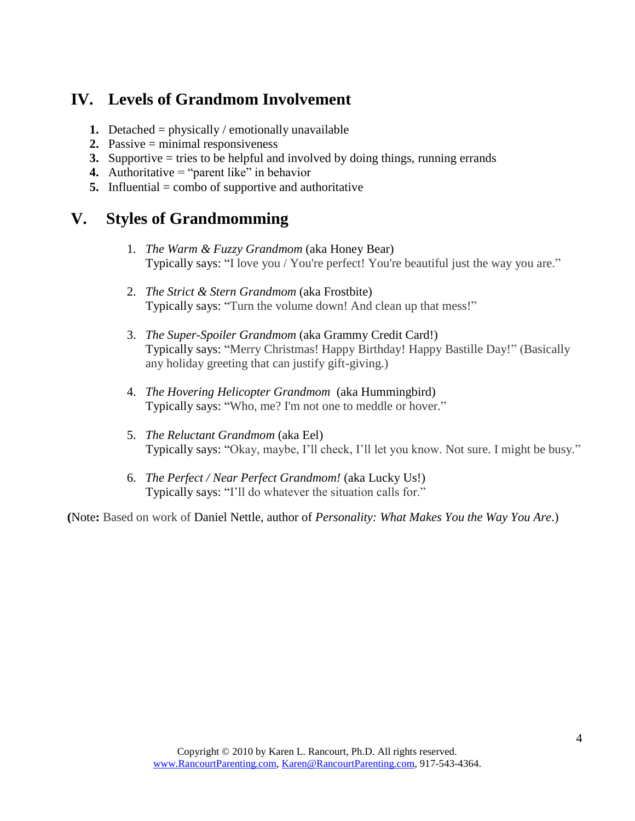# **IV. Levels of Grandmom Involvement**

- **1.** Detached = physically / emotionally unavailable
- **2.** Passive = minimal responsiveness
- **3.** Supportive = tries to be helpful and involved by doing things, running errands
- **4.** Authoritative = "parent like" in behavior
- **5.** Influential = combo of supportive and authoritative

# **V. Styles of Grandmomming**

- 1. *The Warm & Fuzzy Grandmom* (aka Honey Bear) Typically says: "I love you / You're perfect! You're beautiful just the way you are."
- 2. *The Strict & Stern Grandmom* (aka Frostbite) Typically says: "Turn the volume down! And clean up that mess!"
- 3. *The Super-Spoiler Grandmom* (aka Grammy Credit Card!) Typically says: "Merry Christmas! Happy Birthday! Happy Bastille Day!" (Basically any holiday greeting that can justify gift-giving.)
- 4. *The Hovering Helicopter Grandmom* (aka Hummingbird) Typically says: "Who, me? I'm not one to meddle or hover."
- 5. *The Reluctant Grandmom* (aka Eel) Typically says: "Okay, maybe, I"ll check, I"ll let you know. Not sure. I might be busy."
- 6. *The Perfect / Near Perfect Grandmom!* (aka Lucky Us!) Typically says: "I"ll do whatever the situation calls for."

**(**Note**:** Based on work of Daniel Nettle, author of *[Personality: What Makes You the Way You Are](http://www.amazon.com/gp/product/0199211426?ie=UTF8&tag=grandparentsc-20&linkCode=as2&camp=1789&creative=9325&creativeASIN=0199211426)*.)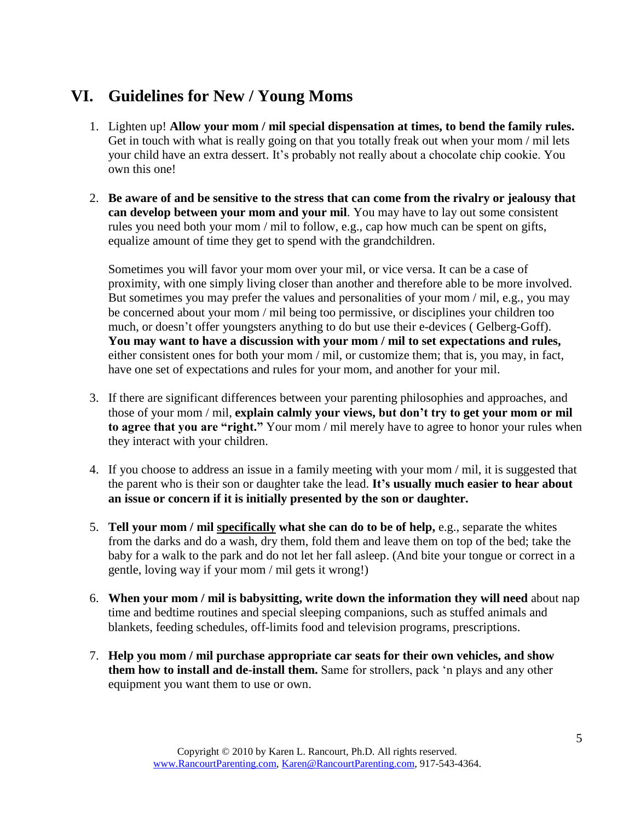# **VI. Guidelines for New / Young Moms**

- 1. Lighten up! **Allow your mom / mil special dispensation at times, to bend the family rules.** Get in touch with what is really going on that you totally freak out when your mom / mil lets your child have an extra dessert. It's probably not really about a chocolate chip cookie. You own this one!
- 2. **Be aware of and be sensitive to the stress that can come from the rivalry or jealousy that can develop between your mom and your mil**. You may have to lay out some consistent rules you need both your mom / mil to follow, e.g., cap how much can be spent on gifts, equalize amount of time they get to spend with the grandchildren.

Sometimes you will favor your mom over your mil, or vice versa. It can be a case of proximity, with one simply living closer than another and therefore able to be more involved. But sometimes you may prefer the values and personalities of your mom / mil, e.g., you may be concerned about your mom / mil being too permissive, or disciplines your children too much, or doesn't offer youngsters anything to do but use their e-devices (Gelberg-Goff). **You may want to have a discussion with your mom / mil to set expectations and rules,** either consistent ones for both your mom / mil, or customize them; that is, you may, in fact, have one set of expectations and rules for your mom, and another for your mil.

- 3. If there are significant differences between your parenting philosophies and approaches, and those of your mom / mil, **explain calmly your views, but don't try to get your mom or mil to agree that you are "right."** Your mom / mil merely have to agree to honor your rules when they interact with your children.
- 4. If you choose to address an issue in a family meeting with your mom / mil, it is suggested that the parent who is their son or daughter take the lead. **It's usually much easier to hear about an issue or concern if it is initially presented by the son or daughter.**
- 5. **Tell your mom / mil specifically what she can do to be of help,** e.g., separate the whites from the darks and do a wash, dry them, fold them and leave them on top of the bed; take the baby for a walk to the park and do not let her fall asleep. (And bite your tongue or correct in a gentle, loving way if your mom / mil gets it wrong!)
- 6. **When your mom / mil is babysitting, write down the information they will need** about nap time and bedtime routines and special sleeping companions, such as stuffed animals and blankets, feeding schedules, off-limits food and television programs, prescriptions.
- 7. **Help you mom / mil purchase appropriate car seats for their own vehicles, and show them how to install and de-install them.** Same for strollers, pack "n plays and any other equipment you want them to use or own.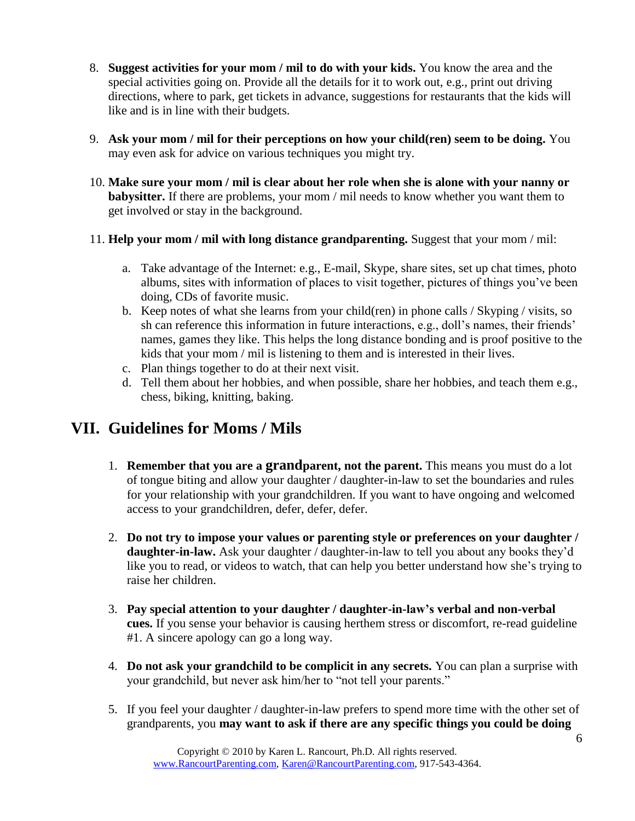- 8. **Suggest activities for your mom / mil to do with your kids.** You know the area and the special activities going on. Provide all the details for it to work out, e.g., print out driving directions, where to park, get tickets in advance, suggestions for restaurants that the kids will like and is in line with their budgets.
- 9. **Ask your mom / mil for their perceptions on how your child(ren) seem to be doing.** You may even ask for advice on various techniques you might try.
- 10. **Make sure your mom / mil is clear about her role when she is alone with your nanny or babysitter.** If there are problems, your mom / mil needs to know whether you want them to get involved or stay in the background.
- 11. **Help your mom / mil with long distance grandparenting.** Suggest that your mom / mil:
	- a. Take advantage of the Internet: e.g., E-mail, Skype, share sites, set up chat times, photo albums, sites with information of places to visit together, pictures of things you"ve been doing, CDs of favorite music.
	- b. Keep notes of what she learns from your child(ren) in phone calls / Skyping / visits, so sh can reference this information in future interactions, e.g., doll's names, their friends' names, games they like. This helps the long distance bonding and is proof positive to the kids that your mom / mil is listening to them and is interested in their lives.
	- c. Plan things together to do at their next visit.
	- d. Tell them about her hobbies, and when possible, share her hobbies, and teach them e.g., chess, biking, knitting, baking.

# **VII. Guidelines for Moms / Mils**

- 1. **Remember that you are a grandparent, not the parent.** This means you must do a lot of tongue biting and allow your daughter / daughter-in-law to set the boundaries and rules for your relationship with your grandchildren. If you want to have ongoing and welcomed access to your grandchildren, defer, defer, defer.
- 2. **Do not try to impose your values or parenting style or preferences on your daughter / daughter-in-law.** Ask your daughter / daughter-in-law to tell you about any books they'd like you to read, or videos to watch, that can help you better understand how she"s trying to raise her children.
- 3. **Pay special attention to your daughter / daughter-in-law's verbal and non-verbal cues.** If you sense your behavior is causing herthem stress or discomfort, re-read guideline #1. A sincere apology can go a long way.
- 4. **Do not ask your grandchild to be complicit in any secrets.** You can plan a surprise with your grandchild, but never ask him/her to "not tell your parents."
- 5. If you feel your daughter / daughter-in-law prefers to spend more time with the other set of grandparents, you **may want to ask if there are any specific things you could be doing**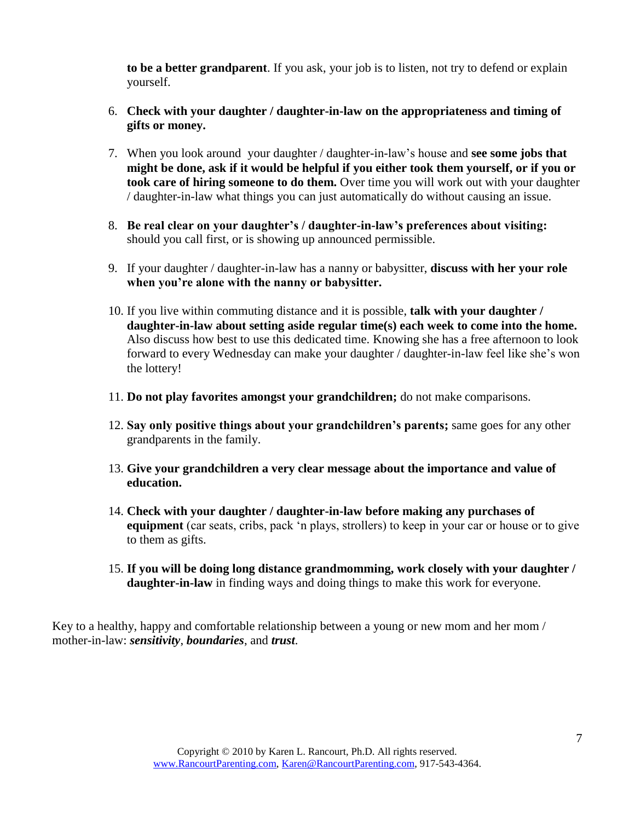**to be a better grandparent**. If you ask, your job is to listen, not try to defend or explain yourself.

- 6. **Check with your daughter / daughter-in-law on the appropriateness and timing of gifts or money.**
- 7. When you look around your daughter / daughter-in-law"s house and **see some jobs that might be done, ask if it would be helpful if you either took them yourself, or if you or took care of hiring someone to do them.** Over time you will work out with your daughter / daughter-in-law what things you can just automatically do without causing an issue.
- 8. **Be real clear on your daughter's / daughter-in-law's preferences about visiting:** should you call first, or is showing up announced permissible.
- 9. If your daughter / daughter-in-law has a nanny or babysitter, **discuss with her your role when you're alone with the nanny or babysitter.**
- 10. If you live within commuting distance and it is possible, **talk with your daughter / daughter-in-law about setting aside regular time(s) each week to come into the home.** Also discuss how best to use this dedicated time. Knowing she has a free afternoon to look forward to every Wednesday can make your daughter / daughter-in-law feel like she"s won the lottery!
- 11. **Do not play favorites amongst your grandchildren;** do not make comparisons.
- 12. **Say only positive things about your grandchildren's parents;** same goes for any other grandparents in the family.
- 13. **Give your grandchildren a very clear message about the importance and value of education.**
- 14. **Check with your daughter / daughter-in-law before making any purchases of equipment** (car seats, cribs, pack "n plays, strollers) to keep in your car or house or to give to them as gifts.
- 15. **If you will be doing long distance grandmomming, work closely with your daughter / daughter-in-law** in finding ways and doing things to make this work for everyone.

Key to a healthy, happy and comfortable relationship between a young or new mom and her mom / mother-in-law: *sensitivity*, *boundaries*, and *trust*.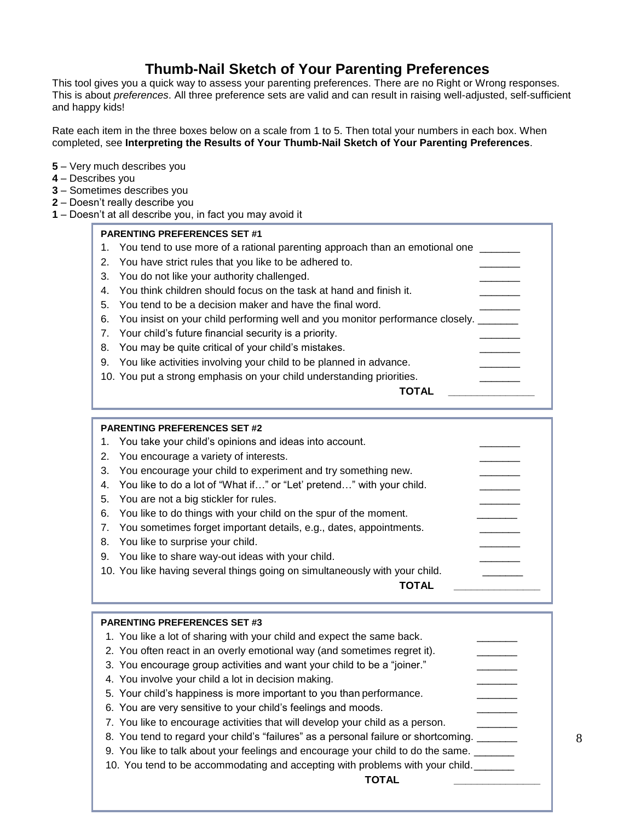### **Thumb-Nail Sketch of Your Parenting Preferences**

This tool gives you a quick way to assess your parenting preferences. There are no Right or Wrong responses. This is about *preferences*. All three preference sets are valid and can result in raising well-adjusted, self-sufficient and happy kids!

Rate each item in the three boxes below on a scale from 1 to 5. Then total your numbers in each box. When completed, see **Interpreting the Results of Your Thumb-Nail Sketch of Your Parenting Preferences**.

- **5** Very much describes you
- **4** Describes you
- **3** Sometimes describes you
- **2** Doesn't really describe you
- **1** Doesn't at all describe you, in fact you may avoid it

#### **PARENTING PREFERENCES SET #1**

1. You tend to use more of a rational parenting approach than an emotional one 2. You have strict rules that you like to be adhered to. 3. You do not like your authority challenged. 4. You think children should focus on the task at hand and finish it. 5. You tend to be a decision maker and have the final word. 6. You insist on your child performing well and you monitor performance closely. 7. Your child's future financial security is a priority. 8. You may be quite critical of your child's mistakes. 9. You like activities involving your child to be planned in advance. 10. You put a strong emphasis on your child understanding priorities. **TOTAL \_\_\_\_\_\_\_\_\_\_\_\_\_\_\_**

#### **PARENTING PREFERENCES SET #2**  1. You take your child's opinions and ideas into account. 2. You encourage a variety of interests. 3. You encourage your child to experiment and try something new. 4. You like to do a lot of "What if..." or "Let' pretend..." with your child. 5. You are not a big stickler for rules. 6. You like to do things with your child on the spur of the moment. 7. You sometimes forget important details, e.g., dates, appointments. 8. You like to surprise your child. 9. You like to share way-out ideas with your child. 10. You like having several things going on simultaneously with your child. **TOTAL \_\_\_\_\_\_\_\_\_\_\_\_\_\_\_**

| <b>PARENTING PREFERENCES SET #3</b>                                                 |  |
|-------------------------------------------------------------------------------------|--|
| 1. You like a lot of sharing with your child and expect the same back.              |  |
| 2. You often react in an overly emotional way (and sometimes regret it).            |  |
| 3. You encourage group activities and want your child to be a "joiner."             |  |
| 4. You involve your child a lot in decision making.                                 |  |
| 5. Your child's happiness is more important to you than performance.                |  |
| 6. You are very sensitive to your child's feelings and moods.                       |  |
| 7. You like to encourage activities that will develop your child as a person.       |  |
| 8. You tend to regard your child's "failures" as a personal failure or shortcoming. |  |
| 9. You like to talk about your feelings and encourage your child to do the same.    |  |
| 10. You tend to be accommodating and accepting with problems with your child.       |  |
|                                                                                     |  |
|                                                                                     |  |

8